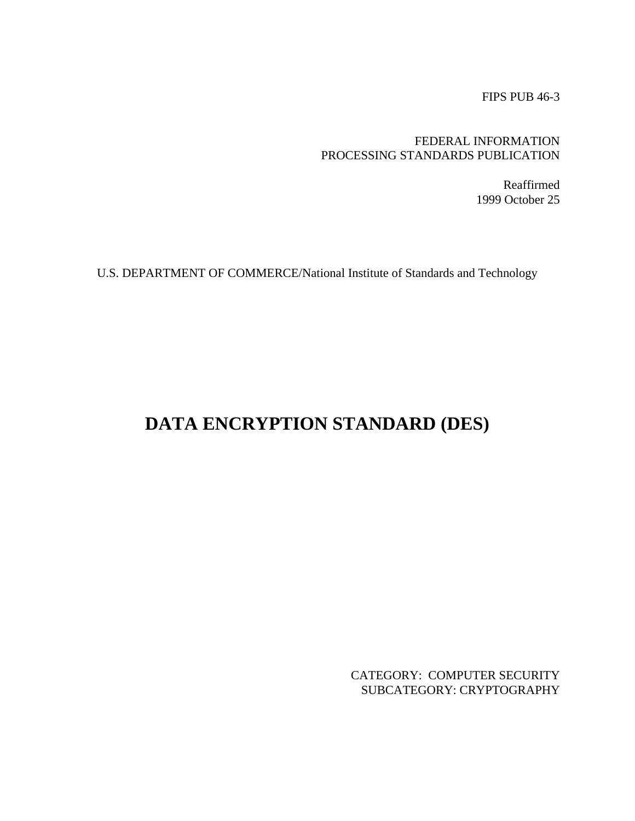FIPS PUB 46-3

# FEDERAL INFORMATION PROCESSING STANDARDS PUBLICATION

Reaffirmed 1999 October 25

U.S. DEPARTMENT OF COMMERCE/National Institute of Standards and Technology

# **DATA ENCRYPTION STANDARD (DES)**

CATEGORY: COMPUTER SECURITY SUBCATEGORY: CRYPTOGRAPHY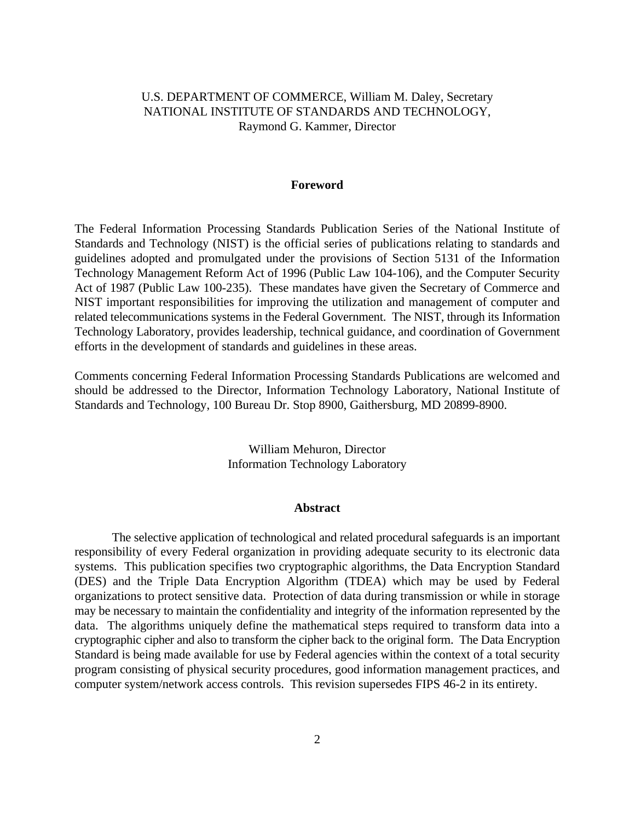# U.S. DEPARTMENT OF COMMERCE, William M. Daley, Secretary NATIONAL INSTITUTE OF STANDARDS AND TECHNOLOGY, Raymond G. Kammer, Director

#### **Foreword**

The Federal Information Processing Standards Publication Series of the National Institute of Standards and Technology (NIST) is the official series of publications relating to standards and guidelines adopted and promulgated under the provisions of Section 5131 of the Information Technology Management Reform Act of 1996 (Public Law 104-106), and the Computer Security Act of 1987 (Public Law 100-235). These mandates have given the Secretary of Commerce and NIST important responsibilities for improving the utilization and management of computer and related telecommunications systems in the Federal Government. The NIST, through its Information Technology Laboratory, provides leadership, technical guidance, and coordination of Government efforts in the development of standards and guidelines in these areas.

Comments concerning Federal Information Processing Standards Publications are welcomed and should be addressed to the Director, Information Technology Laboratory, National Institute of Standards and Technology, 100 Bureau Dr. Stop 8900, Gaithersburg, MD 20899-8900.

> William Mehuron, Director Information Technology Laboratory

#### **Abstract**

The selective application of technological and related procedural safeguards is an important responsibility of every Federal organization in providing adequate security to its electronic data systems. This publication specifies two cryptographic algorithms, the Data Encryption Standard (DES) and the Triple Data Encryption Algorithm (TDEA) which may be used by Federal organizations to protect sensitive data. Protection of data during transmission or while in storage may be necessary to maintain the confidentiality and integrity of the information represented by the data. The algorithms uniquely define the mathematical steps required to transform data into a cryptographic cipher and also to transform the cipher back to the original form. The Data Encryption Standard is being made available for use by Federal agencies within the context of a total security program consisting of physical security procedures, good information management practices, and computer system/network access controls. This revision supersedes FIPS 46-2 in its entirety.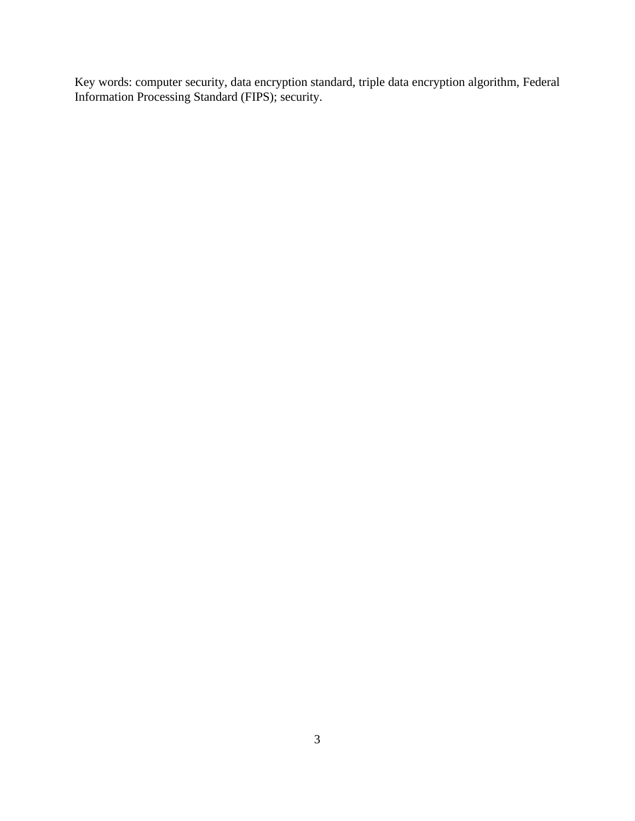Key words: computer security, data encryption standard, triple data encryption algorithm, Federal Information Processing Standard (FIPS); security.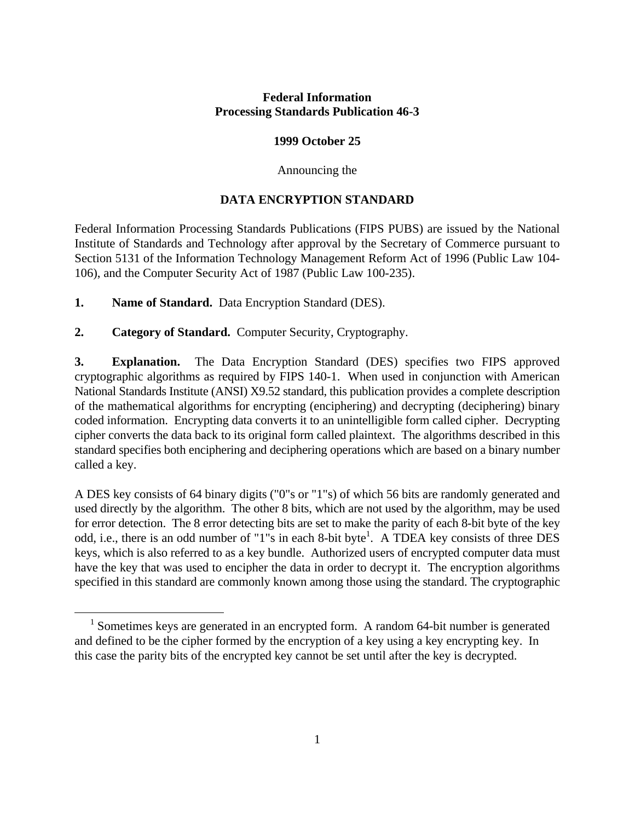# **Federal Information Processing Standards Publication 46-3**

# **1999 October 25**

## Announcing the

# **DATA ENCRYPTION STANDARD**

Federal Information Processing Standards Publications (FIPS PUBS) are issued by the National Institute of Standards and Technology after approval by the Secretary of Commerce pursuant to Section 5131 of the Information Technology Management Reform Act of 1996 (Public Law 104- 106), and the Computer Security Act of 1987 (Public Law 100-235).

**1. Name of Standard.** Data Encryption Standard (DES).

 $\overline{a}$ 

**2. Category of Standard.** Computer Security, Cryptography.

**3. Explanation.** The Data Encryption Standard (DES) specifies two FIPS approved cryptographic algorithms as required by FIPS 140-1. When used in conjunction with American National Standards Institute (ANSI) X9.52 standard, this publication provides a complete description of the mathematical algorithms for encrypting (enciphering) and decrypting (deciphering) binary coded information. Encrypting data converts it to an unintelligible form called cipher. Decrypting cipher converts the data back to its original form called plaintext. The algorithms described in this standard specifies both enciphering and deciphering operations which are based on a binary number called a key.

A DES key consists of 64 binary digits ("0"s or "1"s) of which 56 bits are randomly generated and used directly by the algorithm. The other 8 bits, which are not used by the algorithm, may be used for error detection. The 8 error detecting bits are set to make the parity of each 8-bit byte of the key odd, i.e., there is an odd number of "1"s in each 8-bit byte<sup>1</sup>. A TDEA key consists of three DES keys, which is also referred to as a key bundle. Authorized users of encrypted computer data must have the key that was used to encipher the data in order to decrypt it. The encryption algorithms specified in this standard are commonly known among those using the standard. The cryptographic

 $1$  Sometimes keys are generated in an encrypted form. A random 64-bit number is generated and defined to be the cipher formed by the encryption of a key using a key encrypting key. In this case the parity bits of the encrypted key cannot be set until after the key is decrypted.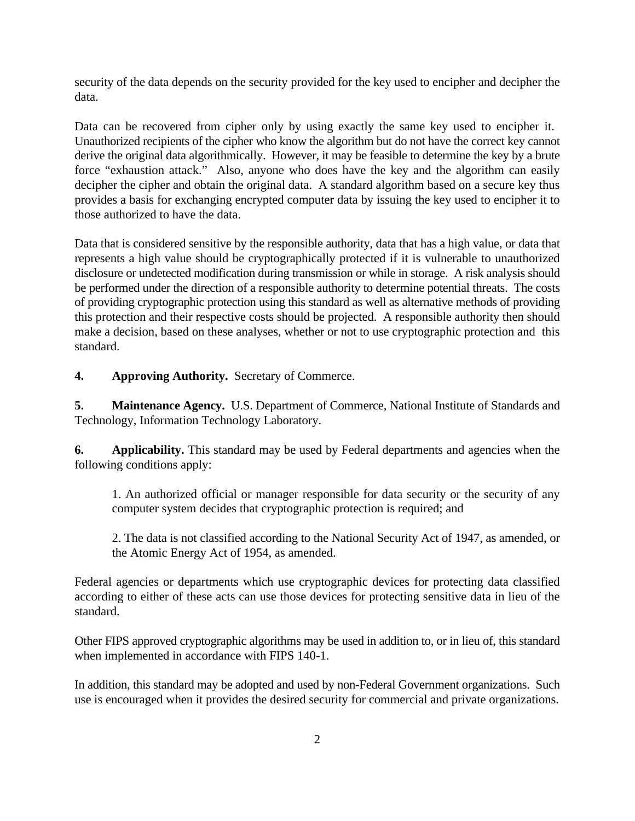security of the data depends on the security provided for the key used to encipher and decipher the data.

Data can be recovered from cipher only by using exactly the same key used to encipher it. Unauthorized recipients of the cipher who know the algorithm but do not have the correct key cannot derive the original data algorithmically. However, it may be feasible to determine the key by a brute force "exhaustion attack." Also, anyone who does have the key and the algorithm can easily decipher the cipher and obtain the original data. A standard algorithm based on a secure key thus provides a basis for exchanging encrypted computer data by issuing the key used to encipher it to those authorized to have the data.

Data that is considered sensitive by the responsible authority, data that has a high value, or data that represents a high value should be cryptographically protected if it is vulnerable to unauthorized disclosure or undetected modification during transmission or while in storage. A risk analysis should be performed under the direction of a responsible authority to determine potential threats. The costs of providing cryptographic protection using this standard as well as alternative methods of providing this protection and their respective costs should be projected. A responsible authority then should make a decision, based on these analyses, whether or not to use cryptographic protection and this standard.

**4. Approving Authority.** Secretary of Commerce.

**5. Maintenance Agency.** U.S. Department of Commerce, National Institute of Standards and Technology, Information Technology Laboratory.

**6. Applicability.** This standard may be used by Federal departments and agencies when the following conditions apply:

1. An authorized official or manager responsible for data security or the security of any computer system decides that cryptographic protection is required; and

2. The data is not classified according to the National Security Act of 1947, as amended, or the Atomic Energy Act of 1954, as amended.

Federal agencies or departments which use cryptographic devices for protecting data classified according to either of these acts can use those devices for protecting sensitive data in lieu of the standard.

Other FIPS approved cryptographic algorithms may be used in addition to, or in lieu of, this standard when implemented in accordance with FIPS 140-1.

In addition, this standard may be adopted and used by non-Federal Government organizations. Such use is encouraged when it provides the desired security for commercial and private organizations.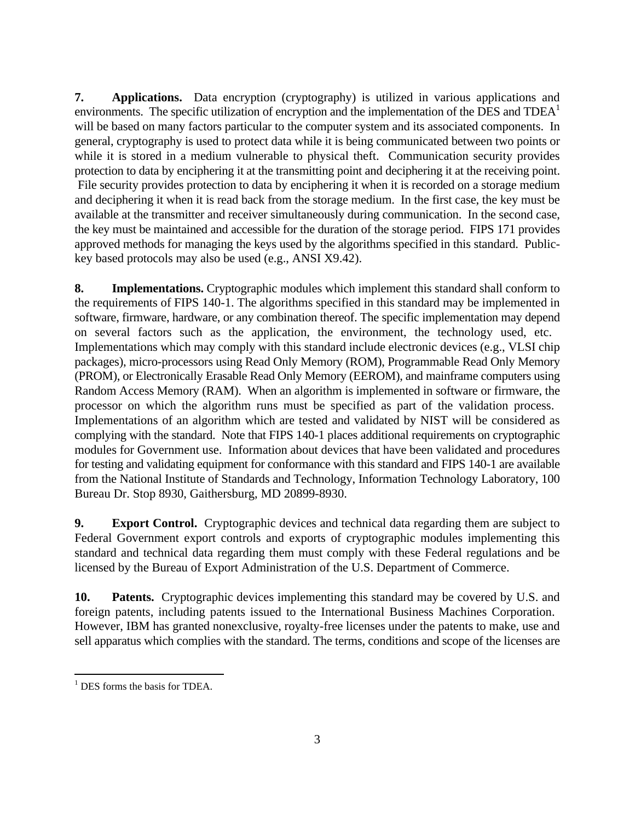**7. Applications.** Data encryption (cryptography) is utilized in various applications and environments. The specific utilization of encryption and the implementation of the DES and  $TDEA<sup>1</sup>$ will be based on many factors particular to the computer system and its associated components. In general, cryptography is used to protect data while it is being communicated between two points or while it is stored in a medium vulnerable to physical theft. Communication security provides protection to data by enciphering it at the transmitting point and deciphering it at the receiving point. File security provides protection to data by enciphering it when it is recorded on a storage medium and deciphering it when it is read back from the storage medium. In the first case, the key must be available at the transmitter and receiver simultaneously during communication. In the second case, the key must be maintained and accessible for the duration of the storage period. FIPS 171 provides approved methods for managing the keys used by the algorithms specified in this standard. Publickey based protocols may also be used (e.g., ANSI X9.42).

**8. Implementations.** Cryptographic modules which implement this standard shall conform to the requirements of FIPS 140-1. The algorithms specified in this standard may be implemented in software, firmware, hardware, or any combination thereof. The specific implementation may depend on several factors such as the application, the environment, the technology used, etc. Implementations which may comply with this standard include electronic devices (e.g., VLSI chip packages), micro-processors using Read Only Memory (ROM), Programmable Read Only Memory (PROM), or Electronically Erasable Read Only Memory (EEROM), and mainframe computers using Random Access Memory (RAM). When an algorithm is implemented in software or firmware, the processor on which the algorithm runs must be specified as part of the validation process. Implementations of an algorithm which are tested and validated by NIST will be considered as complying with the standard. Note that FIPS 140-1 places additional requirements on cryptographic modules for Government use. Information about devices that have been validated and procedures for testing and validating equipment for conformance with this standard and FIPS 140-1 are available from the National Institute of Standards and Technology, Information Technology Laboratory, 100 Bureau Dr. Stop 8930, Gaithersburg, MD 20899-8930.

**9. Export Control.** Cryptographic devices and technical data regarding them are subject to Federal Government export controls and exports of cryptographic modules implementing this standard and technical data regarding them must comply with these Federal regulations and be licensed by the Bureau of Export Administration of the U.S. Department of Commerce.

**10. Patents.** Cryptographic devices implementing this standard may be covered by U.S. and foreign patents, including patents issued to the International Business Machines Corporation. However, IBM has granted nonexclusive, royalty-free licenses under the patents to make, use and sell apparatus which complies with the standard. The terms, conditions and scope of the licenses are

 $\overline{a}$  $<sup>1</sup>$  DES forms the basis for TDEA.</sup>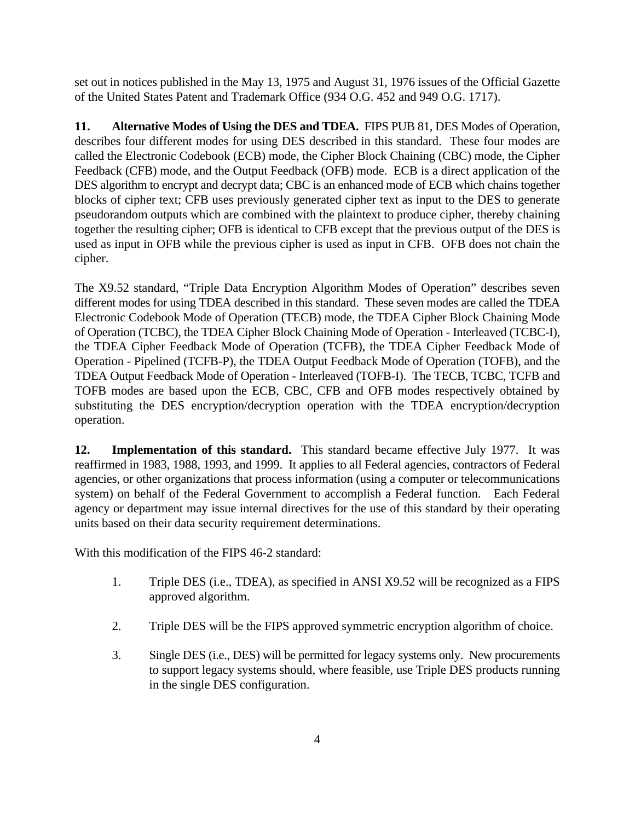set out in notices published in the May 13, 1975 and August 31, 1976 issues of the Official Gazette of the United States Patent and Trademark Office (934 O.G. 452 and 949 O.G. 1717).

**11. Alternative Modes of Using the DES and TDEA.** FIPS PUB 81, DES Modes of Operation, describes four different modes for using DES described in this standard. These four modes are called the Electronic Codebook (ECB) mode, the Cipher Block Chaining (CBC) mode, the Cipher Feedback (CFB) mode, and the Output Feedback (OFB) mode. ECB is a direct application of the DES algorithm to encrypt and decrypt data; CBC is an enhanced mode of ECB which chains together blocks of cipher text; CFB uses previously generated cipher text as input to the DES to generate pseudorandom outputs which are combined with the plaintext to produce cipher, thereby chaining together the resulting cipher; OFB is identical to CFB except that the previous output of the DES is used as input in OFB while the previous cipher is used as input in CFB. OFB does not chain the cipher.

The X9.52 standard, "Triple Data Encryption Algorithm Modes of Operation" describes seven different modes for using TDEA described in this standard. These seven modes are called the TDEA Electronic Codebook Mode of Operation (TECB) mode, the TDEA Cipher Block Chaining Mode of Operation (TCBC), the TDEA Cipher Block Chaining Mode of Operation - Interleaved (TCBC-I), the TDEA Cipher Feedback Mode of Operation (TCFB), the TDEA Cipher Feedback Mode of Operation - Pipelined (TCFB-P), the TDEA Output Feedback Mode of Operation (TOFB), and the TDEA Output Feedback Mode of Operation - Interleaved (TOFB-I). The TECB, TCBC, TCFB and TOFB modes are based upon the ECB, CBC, CFB and OFB modes respectively obtained by substituting the DES encryption/decryption operation with the TDEA encryption/decryption operation.

**12. Implementation of this standard.** This standard became effective July 1977. It was reaffirmed in 1983, 1988, 1993, and 1999. It applies to all Federal agencies, contractors of Federal agencies, or other organizations that process information (using a computer or telecommunications system) on behalf of the Federal Government to accomplish a Federal function. Each Federal agency or department may issue internal directives for the use of this standard by their operating units based on their data security requirement determinations.

With this modification of the FIPS 46-2 standard:

- 1. Triple DES (i.e., TDEA), as specified in ANSI X9.52 will be recognized as a FIPS approved algorithm.
- 2. Triple DES will be the FIPS approved symmetric encryption algorithm of choice.
- 3. Single DES (i.e., DES) will be permitted for legacy systems only. New procurements to support legacy systems should, where feasible, use Triple DES products running in the single DES configuration.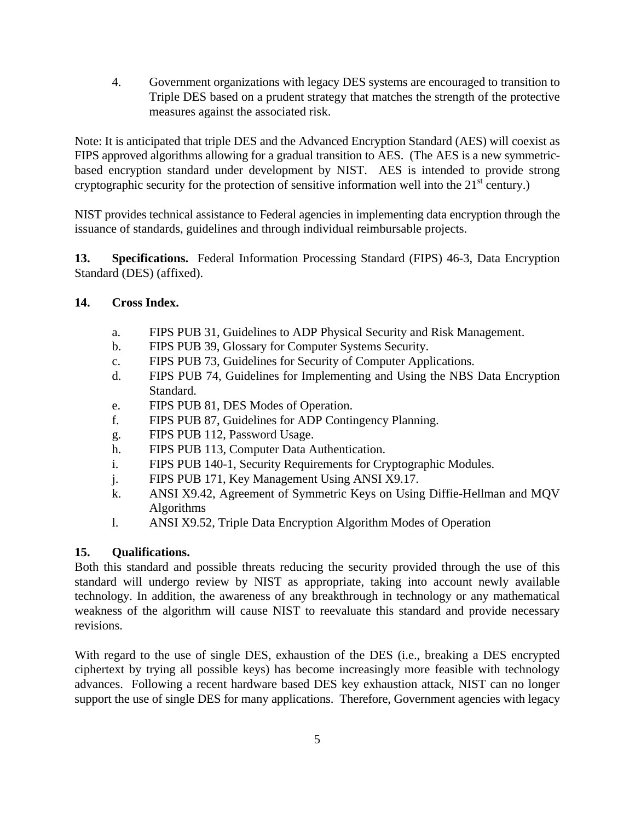4. Government organizations with legacy DES systems are encouraged to transition to Triple DES based on a prudent strategy that matches the strength of the protective measures against the associated risk.

Note: It is anticipated that triple DES and the Advanced Encryption Standard (AES) will coexist as FIPS approved algorithms allowing for a gradual transition to AES. (The AES is a new symmetricbased encryption standard under development by NIST. AES is intended to provide strong cryptographic security for the protection of sensitive information well into the  $21<sup>st</sup>$  century.)

NIST provides technical assistance to Federal agencies in implementing data encryption through the issuance of standards, guidelines and through individual reimbursable projects.

**13. Specifications.** Federal Information Processing Standard (FIPS) 46-3, Data Encryption Standard (DES) (affixed).

# **14. Cross Index.**

- a. FIPS PUB 31, Guidelines to ADP Physical Security and Risk Management.
- b. FIPS PUB 39, Glossary for Computer Systems Security.
- c. FIPS PUB 73, Guidelines for Security of Computer Applications.
- d. FIPS PUB 74, Guidelines for Implementing and Using the NBS Data Encryption Standard.
- e. FIPS PUB 81, DES Modes of Operation.
- f. FIPS PUB 87, Guidelines for ADP Contingency Planning.
- g. FIPS PUB 112, Password Usage.
- h. FIPS PUB 113, Computer Data Authentication.
- i. FIPS PUB 140-1, Security Requirements for Cryptographic Modules.
- j. FIPS PUB 171, Key Management Using ANSI X9.17.
- k. ANSI X9.42, Agreement of Symmetric Keys on Using Diffie-Hellman and MQV Algorithms
- l. ANSI X9.52, Triple Data Encryption Algorithm Modes of Operation

# **15. Qualifications.**

Both this standard and possible threats reducing the security provided through the use of this standard will undergo review by NIST as appropriate, taking into account newly available technology. In addition, the awareness of any breakthrough in technology or any mathematical weakness of the algorithm will cause NIST to reevaluate this standard and provide necessary revisions.

With regard to the use of single DES, exhaustion of the DES (i.e., breaking a DES encrypted ciphertext by trying all possible keys) has become increasingly more feasible with technology advances. Following a recent hardware based DES key exhaustion attack, NIST can no longer support the use of single DES for many applications. Therefore, Government agencies with legacy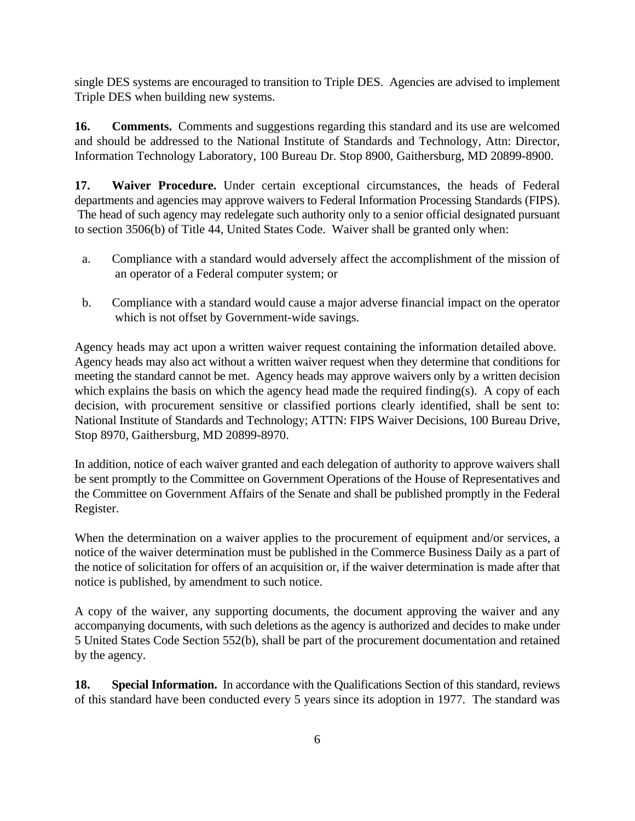single DES systems are encouraged to transition to Triple DES. Agencies are advised to implement Triple DES when building new systems.

**16. Comments.** Comments and suggestions regarding this standard and its use are welcomed and should be addressed to the National Institute of Standards and Technology, Attn: Director, Information Technology Laboratory, 100 Bureau Dr. Stop 8900, Gaithersburg, MD 20899-8900.

**17. Waiver Procedure.** Under certain exceptional circumstances, the heads of Federal departments and agencies may approve waivers to Federal Information Processing Standards (FIPS). The head of such agency may redelegate such authority only to a senior official designated pursuant to section 3506(b) of Title 44, United States Code. Waiver shall be granted only when:

- a. Compliance with a standard would adversely affect the accomplishment of the mission of an operator of a Federal computer system; or
- b. Compliance with a standard would cause a major adverse financial impact on the operator which is not offset by Government-wide savings.

Agency heads may act upon a written waiver request containing the information detailed above. Agency heads may also act without a written waiver request when they determine that conditions for meeting the standard cannot be met. Agency heads may approve waivers only by a written decision which explains the basis on which the agency head made the required finding(s). A copy of each decision, with procurement sensitive or classified portions clearly identified, shall be sent to: National Institute of Standards and Technology; ATTN: FIPS Waiver Decisions, 100 Bureau Drive, Stop 8970, Gaithersburg, MD 20899-8970.

In addition, notice of each waiver granted and each delegation of authority to approve waivers shall be sent promptly to the Committee on Government Operations of the House of Representatives and the Committee on Government Affairs of the Senate and shall be published promptly in the Federal Register.

When the determination on a waiver applies to the procurement of equipment and/or services, a notice of the waiver determination must be published in the Commerce Business Daily as a part of the notice of solicitation for offers of an acquisition or, if the waiver determination is made after that notice is published, by amendment to such notice.

A copy of the waiver, any supporting documents, the document approving the waiver and any accompanying documents, with such deletions as the agency is authorized and decides to make under 5 United States Code Section 552(b), shall be part of the procurement documentation and retained by the agency.

**18. Special Information.** In accordance with the Qualifications Section of this standard, reviews of this standard have been conducted every 5 years since its adoption in 1977. The standard was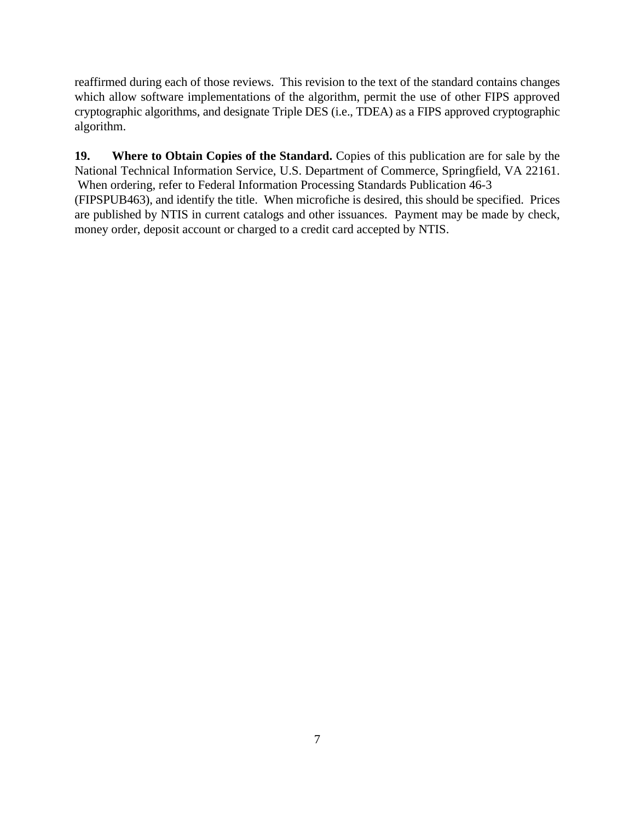reaffirmed during each of those reviews. This revision to the text of the standard contains changes which allow software implementations of the algorithm, permit the use of other FIPS approved cryptographic algorithms, and designate Triple DES (i.e., TDEA) as a FIPS approved cryptographic algorithm.

**19. Where to Obtain Copies of the Standard.** Copies of this publication are for sale by the National Technical Information Service, U.S. Department of Commerce, Springfield, VA 22161. When ordering, refer to Federal Information Processing Standards Publication 46-3

(FIPSPUB463), and identify the title. When microfiche is desired, this should be specified. Prices are published by NTIS in current catalogs and other issuances. Payment may be made by check, money order, deposit account or charged to a credit card accepted by NTIS.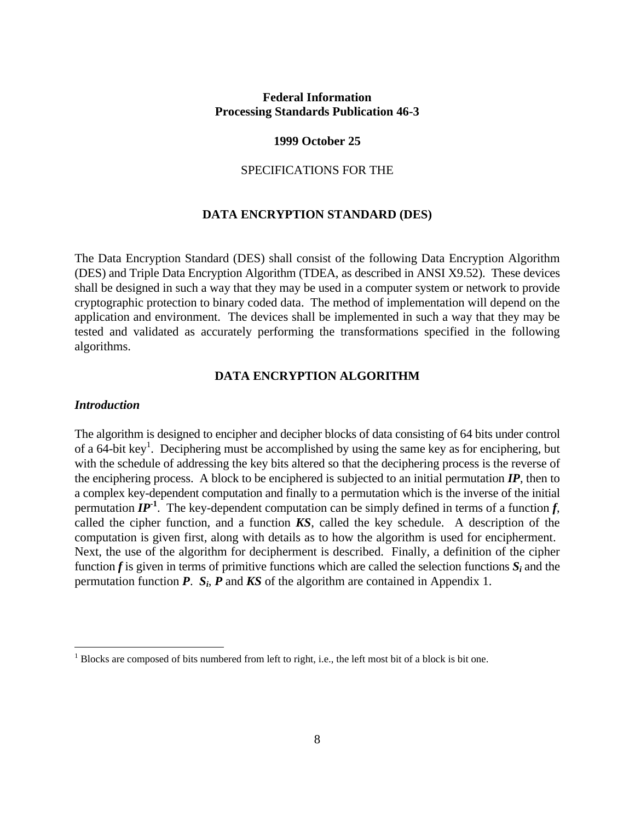## **Federal Information Processing Standards Publication 46-3**

#### **1999 October 25**

#### SPECIFICATIONS FOR THE

#### **DATA ENCRYPTION STANDARD (DES)**

The Data Encryption Standard (DES) shall consist of the following Data Encryption Algorithm (DES) and Triple Data Encryption Algorithm (TDEA, as described in ANSI X9.52). These devices shall be designed in such a way that they may be used in a computer system or network to provide cryptographic protection to binary coded data. The method of implementation will depend on the application and environment. The devices shall be implemented in such a way that they may be tested and validated as accurately performing the transformations specified in the following algorithms.

#### **DATA ENCRYPTION ALGORITHM**

#### *Introduction*

 $\overline{a}$ 

The algorithm is designed to encipher and decipher blocks of data consisting of 64 bits under control of a 64-bit key<sup>1</sup>. Deciphering must be accomplished by using the same key as for enciphering, but with the schedule of addressing the key bits altered so that the deciphering process is the reverse of the enciphering process. A block to be enciphered is subjected to an initial permutation *IP*, then to a complex key-dependent computation and finally to a permutation which is the inverse of the initial permutation  $IP<sup>-1</sup>$ . The key-dependent computation can be simply defined in terms of a function  $f$ , called the cipher function, and a function *KS*, called the key schedule. A description of the computation is given first, along with details as to how the algorithm is used for encipherment. Next, the use of the algorithm for decipherment is described. Finally, a definition of the cipher function  $f$  is given in terms of primitive functions which are called the selection functions  $S_i$  and the permutation function *P*. *S<sup>i</sup>* , *P* and *KS* of the algorithm are contained in Appendix 1.

 $1$  Blocks are composed of bits numbered from left to right, i.e., the left most bit of a block is bit one.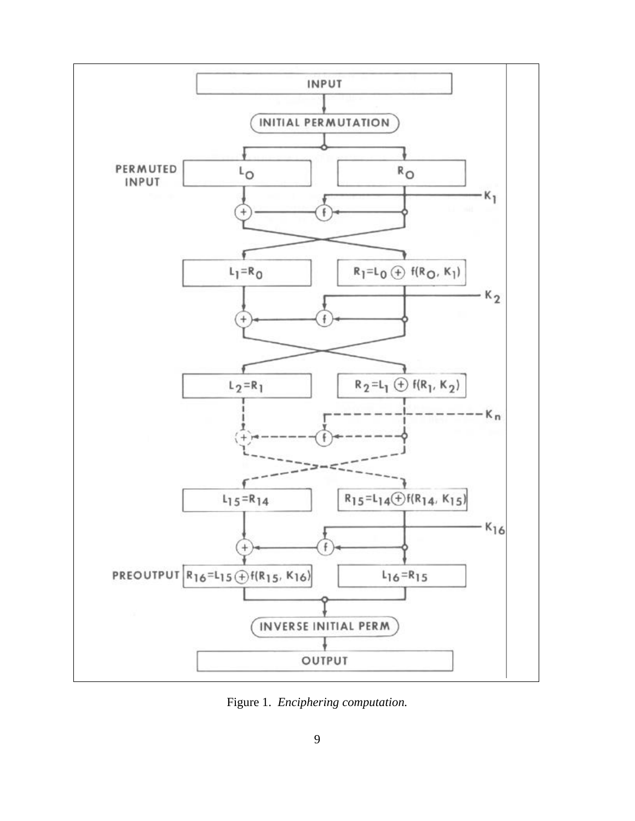

Figure 1. *Enciphering computation.*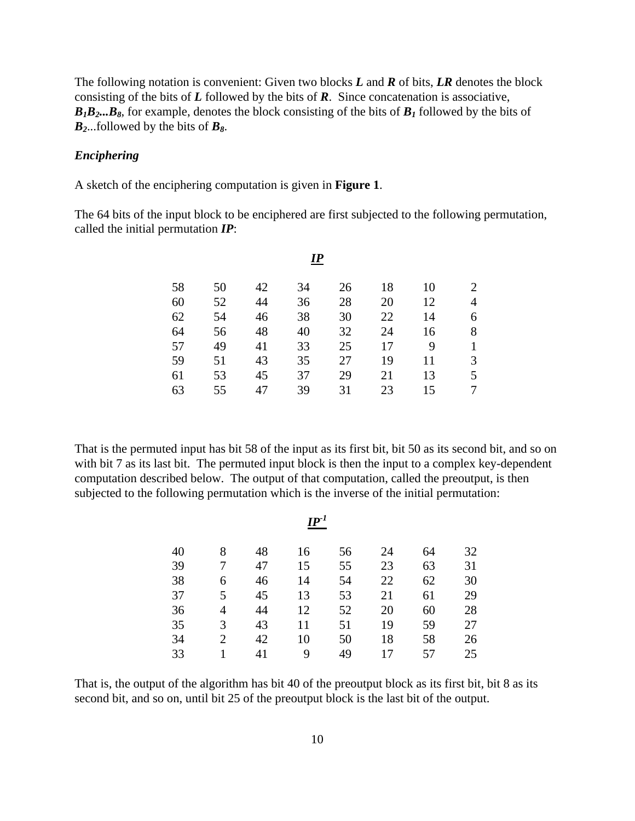The following notation is convenient: Given two blocks *L* and *R* of bits, *LR* denotes the block consisting of the bits of *L* followed by the bits of *R*. Since concatenation is associative,  $B_1B_2...B_8$ , for example, denotes the block consisting of the bits of  $B_1$  followed by the bits of  $B_2$ ...followed by the bits of  $B_8$ .

#### *Enciphering*

A sketch of the enciphering computation is given in **Figure 1**.

The 64 bits of the input block to be enciphered are first subjected to the following permutation, called the initial permutation *IP*:

|    |    |    | $\boldsymbol{I\!P}$ |    |    |    |                |
|----|----|----|---------------------|----|----|----|----------------|
| 58 | 50 | 42 | 34                  | 26 | 18 | 10 | 2              |
| 60 | 52 | 44 | 36                  | 28 | 20 | 12 | $\overline{4}$ |
| 62 | 54 | 46 | 38                  | 30 | 22 | 14 | 6              |
| 64 | 56 | 48 | 40                  | 32 | 24 | 16 | 8              |
| 57 | 49 | 41 | 33                  | 25 | 17 | 9  |                |
| 59 | 51 | 43 | 35                  | 27 | 19 | 11 | 3              |
| 61 | 53 | 45 | 37                  | 29 | 21 | 13 | 5              |
| 63 | 55 | 47 | 39                  | 31 | 23 | 15 | 7              |
|    |    |    |                     |    |    |    |                |

That is the permuted input has bit 58 of the input as its first bit, bit 50 as its second bit, and so on with bit 7 as its last bit. The permuted input block is then the input to a complex key-dependent computation described below. The output of that computation, called the preoutput, is then subjected to the following permutation which is the inverse of the initial permutation:

 $I\!\!P^{\text{-}1}$ 

| 32 |
|----|
| 31 |
| 30 |
| 29 |
| 28 |
| 27 |
| 26 |
| 25 |
|    |

That is, the output of the algorithm has bit 40 of the preoutput block as its first bit, bit 8 as its second bit, and so on, until bit 25 of the preoutput block is the last bit of the output.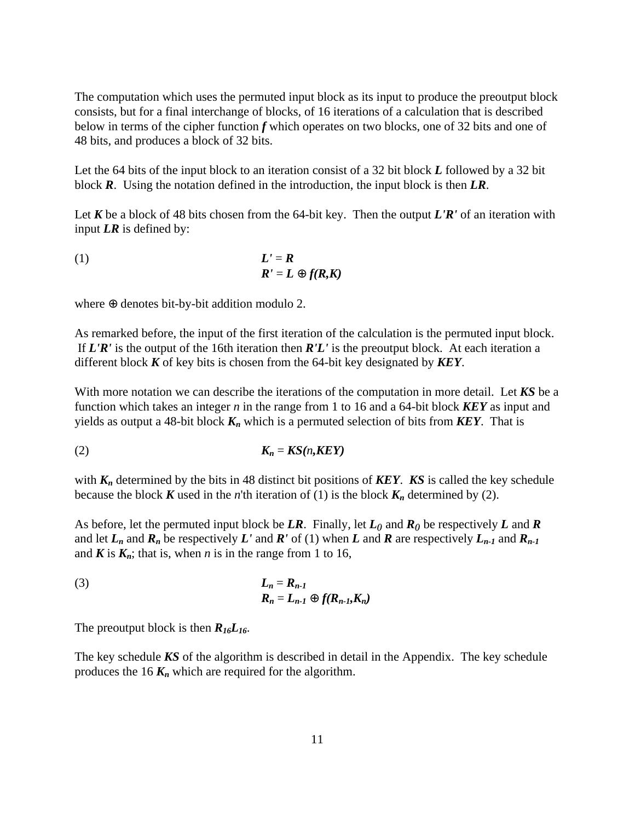The computation which uses the permuted input block as its input to produce the preoutput block consists, but for a final interchange of blocks, of 16 iterations of a calculation that is described below in terms of the cipher function *f* which operates on two blocks, one of 32 bits and one of 48 bits, and produces a block of 32 bits.

Let the 64 bits of the input block to an iteration consist of a 32 bit block *L* followed by a 32 bit block *R*. Using the notation defined in the introduction, the input block is then *LR*.

Let *K* be a block of 48 bits chosen from the 64-bit key. Then the output *L'R'* of an iteration with input *LR* is defined by:

(1) 
$$
L' = R
$$

$$
R' = L \oplus f(R,K)
$$

where ⊕ denotes bit-by-bit addition modulo 2.

As remarked before, the input of the first iteration of the calculation is the permuted input block. If *L'R'* is the output of the 16th iteration then *R'L'* is the preoutput block. At each iteration a different block *K* of key bits is chosen from the 64-bit key designated by *KEY*.

With more notation we can describe the iterations of the computation in more detail. Let *KS* be a function which takes an integer *n* in the range from 1 to 16 and a 64-bit block *KEY* as input and yields as output a 48-bit block *Kn* which is a permuted selection of bits from *KEY*. That is

$$
K_n = KS(n, K EY)
$$

with  $K_n$  determined by the bits in 48 distinct bit positions of **KEY**. **KS** is called the key schedule because the block *K* used in the *n*'th iteration of (1) is the block  $K_n$  determined by (2).

As before, let the permuted input block be  $LR$ . Finally, let  $L_0$  and  $R_0$  be respectively  $L$  and  $R$ and let  $L_n$  and  $R_n$  be respectively  $L'$  and  $R'$  of (1) when  $L$  and  $R$  are respectively  $L_{n-1}$  and  $R_{n-1}$ and  $\mathbf{K}$  is  $\mathbf{K}_n$ ; that is, when *n* is in the range from 1 to 16,

(3) 
$$
L_n = R_{n-1}
$$

$$
R_n = L_{n-1} \oplus f(R_{n-1}, K_n)
$$

The preoutput block is then  $R_{16}L_{16}$ .

The key schedule *KS* of the algorithm is described in detail in the Appendix. The key schedule produces the 16  $K_n$  which are required for the algorithm.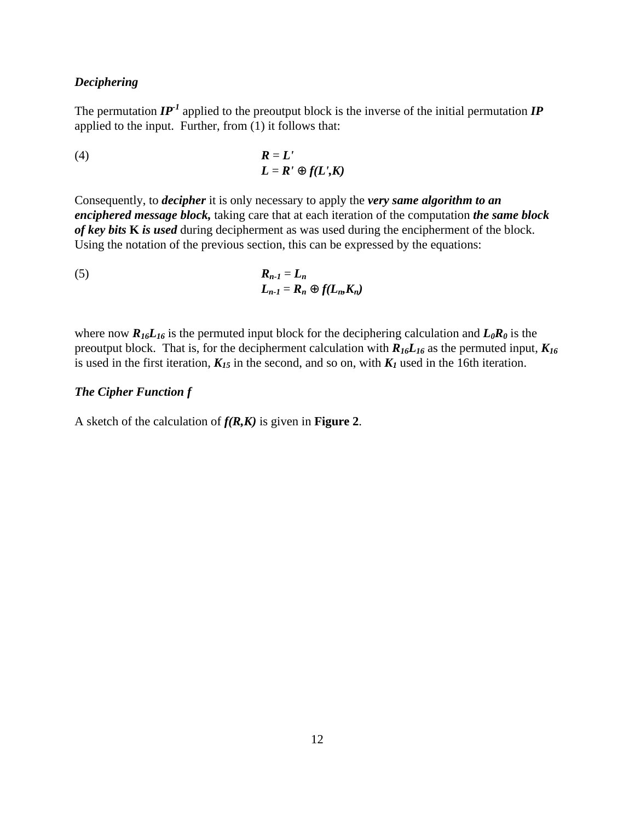#### *Deciphering*

The permutation  $IP<sup>-1</sup>$  applied to the preoutput block is the inverse of the initial permutation  $IP$ applied to the input. Further, from  $(1)$  it follows that:

(4) 
$$
R = L'
$$

$$
L = R' \oplus f(L', K)
$$

Consequently, to *decipher* it is only necessary to apply the *very same algorithm to an enciphered message block,* taking care that at each iteration of the computation *the same block of key bits* **K** *is used* during decipherment as was used during the encipherment of the block. Using the notation of the previous section, this can be expressed by the equations:

(5) 
$$
R_{n-1} = L_n
$$

$$
L_{n-1} = R_n \oplus f(L_n, K_n)
$$

where now  $R_{16}L_{16}$  is the permuted input block for the deciphering calculation and  $L_0R_0$  is the preoutput block. That is, for the decipherment calculation with  $R_{16}L_{16}$  as the permuted input,  $K_{16}$ is used in the first iteration,  $K_{15}$  in the second, and so on, with  $K_I$  used in the 16th iteration.

#### *The Cipher Function f*

A sketch of the calculation of *f(R,K)* is given in **Figure 2**.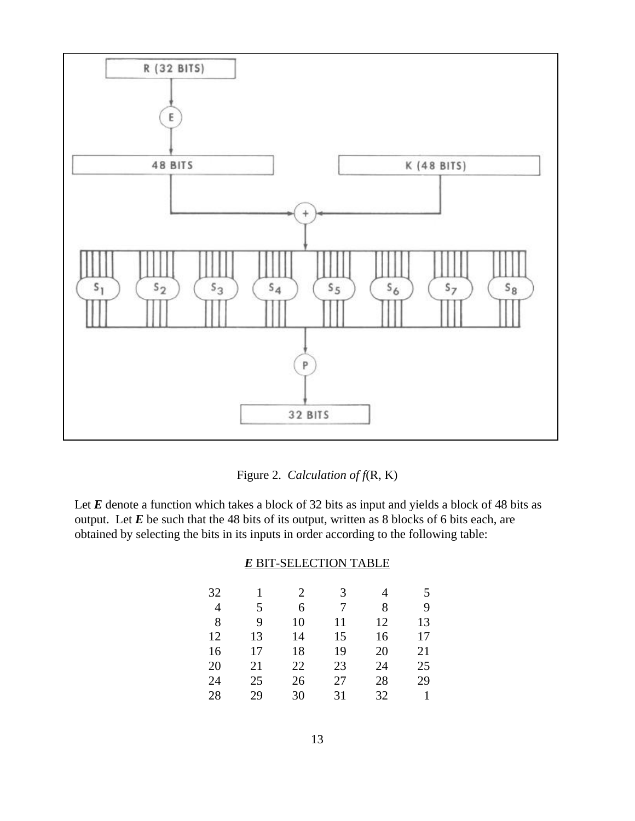

Figure 2. *Calculation of f*(R, K)

Let *E* denote a function which takes a block of 32 bits as input and yields a block of 48 bits as output. Let *E* be such that the 48 bits of its output, written as 8 blocks of 6 bits each, are obtained by selecting the bits in its inputs in order according to the following table:

#### *E* BIT-SELECTION TABLE

| 32             | 1  | 2  | 3  | 4  | 5  |
|----------------|----|----|----|----|----|
| $\overline{4}$ | 5  | 6  | 7  | 8  | 9  |
| -8             | 9  | 10 | 11 | 12 | 13 |
| 12             | 13 | 14 | 15 | 16 | 17 |
| 16             | 17 | 18 | 19 | 20 | 21 |
| 20             | 21 | 22 | 23 | 24 | 25 |
| 24             | 25 | 26 | 27 | 28 | 29 |
| 28             | 29 | 30 | 31 | 32 |    |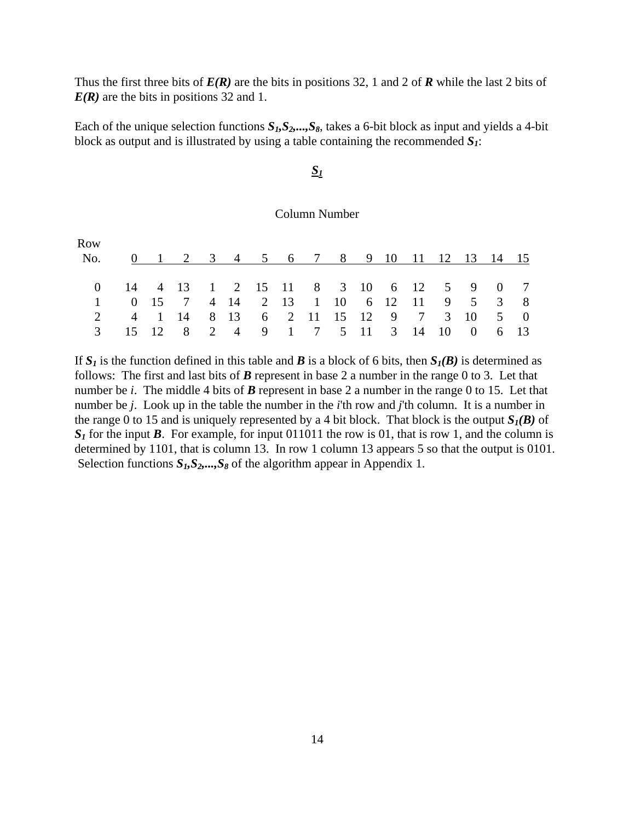Thus the first three bits of *E(R)* are the bits in positions 32, 1 and 2 of *R* while the last 2 bits of *E(R)* are the bits in positions 32 and 1.

Each of the unique selection functions  $S_I$ ,  $S_2$ ,  $S_3$ , takes a 6-bit block as input and yields a 4-bit block as output and is illustrated by using a table containing the recommended *S1*:

# *S1*

#### Column Number

| Row                                       |  |                                         |  |  |  |  |  |  |  |
|-------------------------------------------|--|-----------------------------------------|--|--|--|--|--|--|--|
| No. 0 1 2 3 4 5 6 7 8 9 10 11 12 13 14 15 |  |                                         |  |  |  |  |  |  |  |
|                                           |  |                                         |  |  |  |  |  |  |  |
| 0 14 4 13 1 2 15 11 8 3 10 6 12 5 9 0 7   |  |                                         |  |  |  |  |  |  |  |
|                                           |  | 1 0 15 7 4 14 2 13 1 10 6 12 11 9 5 3 8 |  |  |  |  |  |  |  |
|                                           |  | 2 4 1 14 8 13 6 2 11 15 12 9 7 3 10 5 0 |  |  |  |  |  |  |  |
|                                           |  | 3 15 12 8 2 4 9 1 7 5 11 3 14 10 0 6 13 |  |  |  |  |  |  |  |

If  $S_I$  is the function defined in this table and *B* is a block of 6 bits, then  $S_I(B)$  is determined as follows: The first and last bits of *B* represent in base 2 a number in the range 0 to 3. Let that number be *i*. The middle 4 bits of *B* represent in base 2 a number in the range 0 to 15. Let that number be *j*. Look up in the table the number in the *i*'th row and *j*'th column. It is a number in the range 0 to 15 and is uniquely represented by a 4 bit block. That block is the output  $S_I(B)$  of  $S_I$  for the input *B*. For example, for input 011011 the row is 01, that is row 1, and the column is determined by 1101, that is column 13. In row 1 column 13 appears 5 so that the output is 0101. Selection functions  $S_1, S_2, \ldots, S_8$  of the algorithm appear in Appendix 1.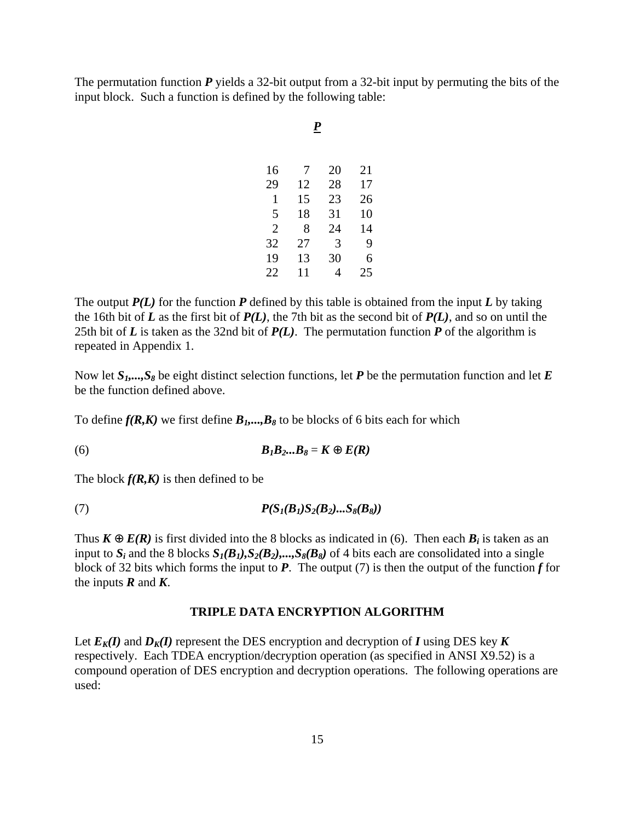The permutation function *P* yields a 32-bit output from a 32-bit input by permuting the bits of the input block. Such a function is defined by the following table:

| ٠ |               |
|---|---------------|
|   | I<br>۰.<br>۰. |
|   |               |

| 7  | 20 | 21 |
|----|----|----|
| 12 | 28 | 17 |
| 15 | 23 | 26 |
| 18 | 31 | 10 |
| 8  | 24 | 14 |
| 27 | 3  | 9  |
| 13 | 30 | 6  |
| 11 | 4  | 25 |
|    |    |    |

The output *P(L)* for the function *P* defined by this table is obtained from the input *L* by taking the 16th bit of  $L$  as the first bit of  $P(L)$ , the 7th bit as the second bit of  $P(L)$ , and so on until the 25th bit of  $L$  is taken as the 32nd bit of  $P(L)$ . The permutation function  $P$  of the algorithm is repeated in Appendix 1.

Now let *S1,...,S8* be eight distinct selection functions, let *P* be the permutation function and let *E* be the function defined above.

To define  $f(R,K)$  we first define  $B_1$ ,...,  $B_8$  to be blocks of 6 bits each for which

(6) *B1B2...B8* = *K* ⊕ *E(R)*

The block  $f(R,K)$  is then defined to be

(7) 
$$
P(S_1(B_1)S_2(B_2)...S_8(B_8))
$$

Thus  $K \oplus E(R)$  is first divided into the 8 blocks as indicated in (6). Then each  $B_i$  is taken as an input to  $S_i$  and the 8 blocks  $S_I(B_I), S_2(B_2),...,S_8(B_8)$  of 4 bits each are consolidated into a single block of 32 bits which forms the input to  $P$ . The output (7) is then the output of the function  $f$  for the inputs  $\vec{R}$  and  $\vec{K}$ .

#### **TRIPLE DATA ENCRYPTION ALGORITHM**

Let  $E_K(I)$  and  $D_K(I)$  represent the DES encryption and decryption of *I* using DES key *K* respectively. Each TDEA encryption/decryption operation (as specified in ANSI X9.52) is a compound operation of DES encryption and decryption operations. The following operations are used: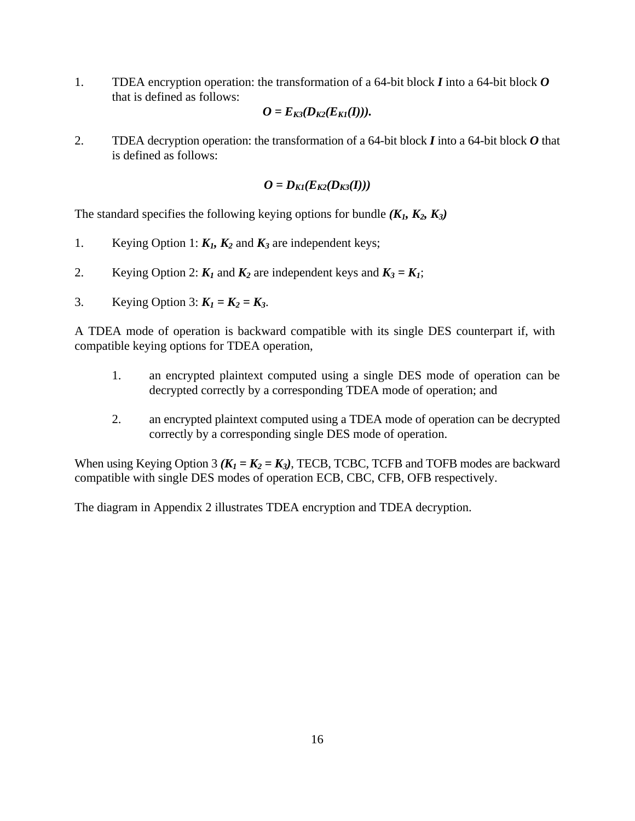1. TDEA encryption operation: the transformation of a 64-bit block *I* into a 64-bit block *O* that is defined as follows:

$$
O=E_{K3}(D_{K2}(E_{K1}(I))).
$$

2. TDEA decryption operation: the transformation of a 64-bit block *I* into a 64-bit block *O* that is defined as follows:

$$
O = D_{K1}(E_{K2}(D_{K3}(I)))
$$

The standard specifies the following keying options for bundle  $(K_1, K_2, K_3)$ 

- 1. Keying Option 1:  $K_1$ ,  $K_2$  and  $K_3$  are independent keys;
- 2. Keying Option 2:  $K_1$  and  $K_2$  are independent keys and  $K_3 = K_1$ ;
- 3. Keying Option 3:  $K_1 = K_2 = K_3$ .

A TDEA mode of operation is backward compatible with its single DES counterpart if, with compatible keying options for TDEA operation,

- 1. an encrypted plaintext computed using a single DES mode of operation can be decrypted correctly by a corresponding TDEA mode of operation; and
- 2. an encrypted plaintext computed using a TDEA mode of operation can be decrypted correctly by a corresponding single DES mode of operation.

When using Keying Option 3  $(K_1 = K_2 = K_3)$ , TECB, TCBC, TCFB and TOFB modes are backward compatible with single DES modes of operation ECB, CBC, CFB, OFB respectively.

The diagram in Appendix 2 illustrates TDEA encryption and TDEA decryption.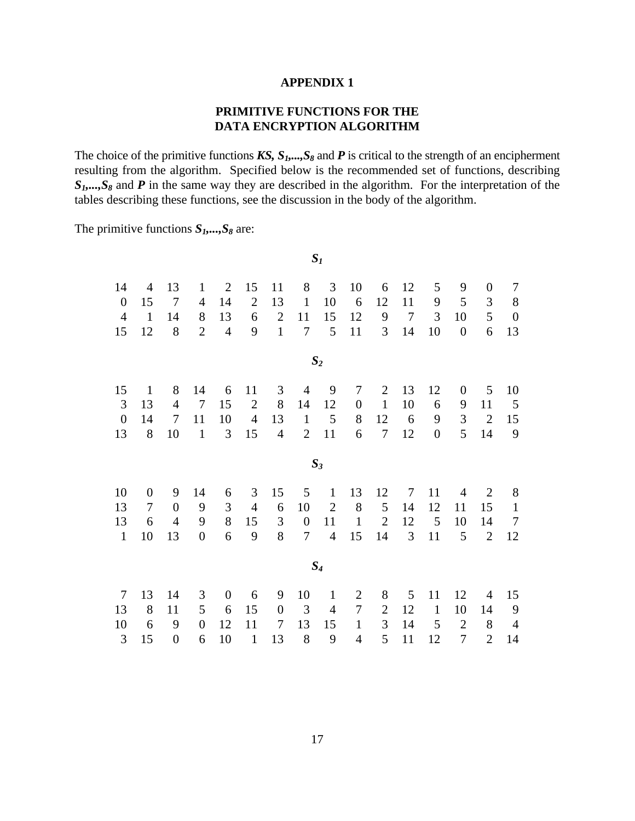#### **APPENDIX 1**

# **PRIMITIVE FUNCTIONS FOR THE DATA ENCRYPTION ALGORITHM**

The choice of the primitive functions *KS*,  $S_1$ ,...,  $S_8$  and *P* is critical to the strength of an encipherment resulting from the algorithm. Specified below is the recommended set of functions, describing *S1,...,S8* and *P* in the same way they are described in the algorithm. For the interpretation of the tables describing these functions, see the discussion in the body of the algorithm.

*S1*

The primitive functions *S1,...,S8* are:

| 14               | 4                | 13               | $\mathbf{1}$     | $\overline{2}$ | 15             | 11               | 8              | 3              | 10               | 6              | 12             | 5              | 9                | $\boldsymbol{0}$ | 7                |
|------------------|------------------|------------------|------------------|----------------|----------------|------------------|----------------|----------------|------------------|----------------|----------------|----------------|------------------|------------------|------------------|
| $\boldsymbol{0}$ | 15               | $\overline{7}$   | $\overline{4}$   | 14             | $\overline{2}$ | 13               | $\mathbf{1}$   | 10             | 6                | 12             | 11             | 9              | 5                | 3                | 8                |
| $\overline{4}$   | $\mathbf{1}$     | 14               | 8                | 13             | 6              | $\overline{2}$   | 11             | 15             | 12               | 9              | $\overline{7}$ | 3              | 10               | 5                | $\boldsymbol{0}$ |
| 15               | 12               | 8                | $\overline{2}$   | $\overline{4}$ | 9              | $\mathbf{1}$     | $\overline{7}$ | 5              | 11               | 3              | 14             | 10             | $\boldsymbol{0}$ | 6                | 13               |
|                  |                  |                  |                  |                |                |                  |                | $S_2$          |                  |                |                |                |                  |                  |                  |
| 15               | $\mathbf{1}$     | 8                | 14               | 6              | 11             | 3                | $\overline{4}$ | 9              | $\tau$           | $\overline{2}$ | 13             | 12             | $\theta$         | 5                | 10               |
| 3                | 13               | $\overline{4}$   | $\tau$           | 15             | $\mathbf{2}$   | 8                | 14             | 12             | $\boldsymbol{0}$ | $\mathbf{1}$   | 10             | 6              | 9                | 11               | $\mathfrak{S}$   |
| $\boldsymbol{0}$ | 14               | $\tau$           | 11               | 10             | $\overline{4}$ | 13               | $\mathbf{1}$   | 5              | 8                | 12             | 6              | 9              | $\mathfrak{Z}$   | $\overline{2}$   | 15               |
| 13               | 8                | 10               | $\mathbf{1}$     | 3              | 15             | $\overline{4}$   | $\overline{2}$ | 11             | 6                | $\overline{7}$ | 12             | $\overline{0}$ | 5                | 14               | 9                |
|                  |                  |                  |                  |                |                |                  |                | $S_3$          |                  |                |                |                |                  |                  |                  |
| 10               | $\boldsymbol{0}$ | 9                | 14               | 6              | 3              | 15               | 5              | $\mathbf{1}$   | 13               | 12             | $\tau$         | 11             | 4                | $\overline{2}$   | 8                |
| 13               | $\tau$           | $\overline{0}$   | 9                | 3              | $\overline{4}$ | 6                | 10             | $\mathbf{2}$   | 8                | 5              | 14             | 12             | 11               | 15               | $\mathbf{1}$     |
| 13               | 6                | $\overline{4}$   | 9                | 8              | 15             | 3                | $\overline{0}$ | 11             | $\mathbf{1}$     | $\overline{2}$ | 12             | 5              | 10               | 14               | $\overline{7}$   |
| $\mathbf{1}$     | 10               | 13               | $\boldsymbol{0}$ | 6              | 9              | 8                | $\overline{7}$ | $\overline{4}$ | 15               | 14             | 3              | 11             | 5                | $\overline{2}$   | 12               |
|                  |                  |                  |                  |                |                |                  |                | $S_4$          |                  |                |                |                |                  |                  |                  |
| $\overline{7}$   | 13               | 14               | 3                | $\overline{0}$ | 6              | 9                | 10             | $\mathbf{1}$   | $\overline{2}$   | 8              | 5              | 11             | 12               | 4                | 15               |
| 13               | 8                | 11               | 5                | 6              | 15             | $\boldsymbol{0}$ | 3              | 4              | $\tau$           | $\overline{2}$ | 12             | $\mathbf{1}$   | 10               | 14               | 9                |
| 10               | 6                | 9                | $\boldsymbol{0}$ | 12             | 11             | 7                | 13             | 15             | $\mathbf{1}$     | 3              | 14             | 5              | $\overline{2}$   | 8                | $\overline{4}$   |
| 3                | 15               | $\boldsymbol{0}$ | 6                | 10             | $\mathbf{1}$   | 13               | 8              | 9              | $\overline{4}$   | 5              | 11             | 12             | 7                | $\overline{2}$   | 14               |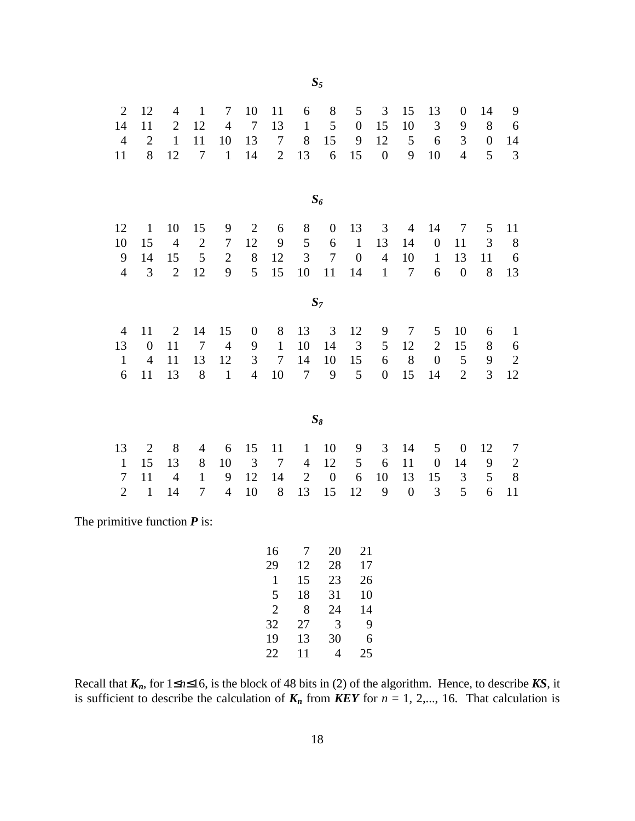| $\sqrt{2}$                     | 12               | 4              | $\mathbf{1}$   | 7                | 10               | 11                                              | 6                        | $8\,$                      | 5                          | $\mathfrak{Z}$   | 15               | 13               | $\boldsymbol{0}$ | 14               | 9            |
|--------------------------------|------------------|----------------|----------------|------------------|------------------|-------------------------------------------------|--------------------------|----------------------------|----------------------------|------------------|------------------|------------------|------------------|------------------|--------------|
| 14                             | 11               | $\overline{2}$ | 12             | $\overline{4}$   | $\overline{7}$   | 13                                              | $\mathbf{1}$             | 5                          | $\boldsymbol{0}$           | 15               | 10               | $\mathfrak{Z}$   | 9                | $8\,$            | 6            |
| $\overline{4}$                 | $\overline{2}$   | $\mathbf{1}$   | 11             | 10               | 13               | $\tau$                                          | $8\,$                    | 15                         | 9                          | 12               | 5                | 6                | $\mathfrak{Z}$   | $\boldsymbol{0}$ | 14           |
| 11                             | 8                | 12             | $\tau$         | $1\,$            | 14               | $\overline{2}$                                  | 13                       | 6                          | 15                         | $\boldsymbol{0}$ | 9                | 10               | $\overline{4}$   | 5                | 3            |
|                                |                  |                |                |                  |                  |                                                 |                          | $S_6$                      |                            |                  |                  |                  |                  |                  |              |
| 12                             | $\mathbf{1}$     | 10             | 15             | 9                | $\mathbf{2}$     | 6                                               | $8\,$                    | $\boldsymbol{0}$           | 13                         | 3                | $\overline{4}$   | 14               | $\boldsymbol{7}$ | 5                | 11           |
| 10                             | 15               | $\overline{4}$ | $\sqrt{2}$     | $\boldsymbol{7}$ | 12               | 9                                               | 5                        | 6                          | $\mathbf 1$                | 13               | 14               | $\boldsymbol{0}$ | 11               | $\mathfrak{Z}$   | $\,8\,$      |
| $\mathbf{9}$                   | 14               | 15             | 5              | $\overline{2}$   | 8                | 12                                              | 3                        | $\boldsymbol{7}$           | $\boldsymbol{0}$           | $\overline{4}$   | 10               | $\mathbf{1}$     | 13               | 11               | 6            |
| $\overline{4}$                 | 3                | $\overline{2}$ | 12             | 9                | 5                | 15                                              | 10                       | 11                         | 14                         | $\mathbf{1}$     | $\tau$           | 6                | $\overline{0}$   | 8                | 13           |
|                                |                  |                |                |                  |                  |                                                 |                          | $\mathcal{S}_7$            |                            |                  |                  |                  |                  |                  |              |
| $\overline{4}$                 | 11               | $\mathfrak{2}$ | 14             | 15               | $\boldsymbol{0}$ | $8\,$                                           | 13                       | 3                          | 12                         | 9                | $\tau$           | $\mathfrak{S}$   | 10               | 6                | $\mathbf{1}$ |
| 13                             | $\boldsymbol{0}$ | 11             | $\overline{7}$ | $\overline{4}$   | 9                | $\mathbf{1}$                                    | 10                       | 14                         | $\mathfrak{Z}$             | 5                | 12               | $\mathbf{2}$     | 15               | $8\,$            | 6            |
| $\mathbf{1}$                   | $\overline{4}$   | 11             | 13             | 12               | $\mathfrak{Z}$   | $\tau$                                          | 14                       | 10                         | 15                         | 6                | $8\,$            | $\boldsymbol{0}$ | 5                | 9                | $\sqrt{2}$   |
| 6                              | 11               | 13             | 8              | $\mathbf{1}$     | $\overline{4}$   | 10                                              | $\overline{7}$           | 9                          | 5                          | $\boldsymbol{0}$ | 15               | 14               | $\overline{2}$   | 3                | 12           |
|                                |                  |                |                |                  |                  |                                                 |                          | $\mathcal{S}_8$            |                            |                  |                  |                  |                  |                  |              |
| 13                             | $\mathbf{2}$     | 8              | $\overline{4}$ | 6                | 15               | 11                                              | $\mathbf{1}$             | 10                         | 9                          | 3                | 14               | 5                | $\boldsymbol{0}$ | 12               | $\tau$       |
| $\mathbf{1}$                   | 15               | 13             | 8              | 10               | 3                | $\boldsymbol{7}$                                | $\overline{4}$           | 12                         | 5                          | 6                | 11               | $\boldsymbol{0}$ | 14               | $\boldsymbol{9}$ | $\sqrt{2}$   |
| $\overline{7}$                 | 11               | $\overline{4}$ | $\mathbf{1}$   | 9                | 12               | 14                                              | $\overline{2}$           | $\boldsymbol{0}$           | 6                          | 10               | 13               | 15               | $\mathfrak{Z}$   | 5                | $\,$ 8 $\,$  |
| $\overline{2}$                 | $\mathbf 1$      | 14             | $\tau$         | $\overline{4}$   | 10               | $8\,$                                           | 13                       | 15                         | 12                         | 9                | $\boldsymbol{0}$ | 3                | 5                | 6                | 11           |
| The primitive function $P$ is: |                  |                |                |                  |                  |                                                 |                          |                            |                            |                  |                  |                  |                  |                  |              |
|                                |                  |                |                |                  |                  | 16<br>29<br>$\mathbf{1}$<br>5<br>$\overline{2}$ | 7<br>12<br>15<br>18<br>8 | 20<br>28<br>23<br>31<br>24 | 21<br>17<br>26<br>10<br>14 |                  |                  |                  |                  |                  |              |

*S5*

Recall that  $K_n$ , for  $1 \le n \le 16$ , is the block of 48 bits in (2) of the algorithm. Hence, to describe *KS*, it is sufficient to describe the calculation of  $K_n$  from KEY for  $n = 1, 2,..., 16$ . That calculation is

 $\begin{array}{ccc} 2 & 8 & 24 & 14 \\ 32 & 27 & 3 & 9 \end{array}$ 27 3 9

13 30 6

4 25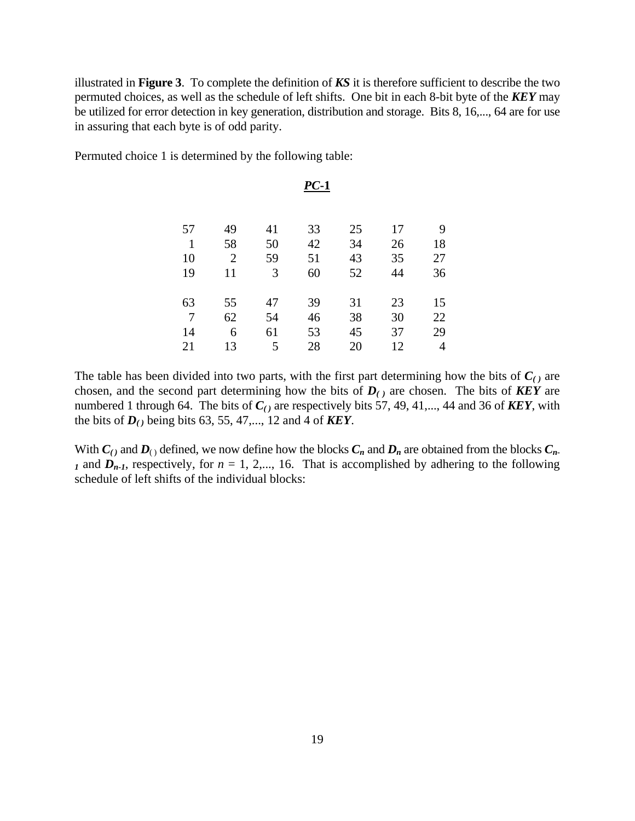illustrated in **Figure 3**. To complete the definition of *KS* it is therefore sufficient to describe the two permuted choices, as well as the schedule of left shifts. One bit in each 8-bit byte of the *KEY* may be utilized for error detection in key generation, distribution and storage. Bits 8, 16,..., 64 are for use in assuring that each byte is of odd parity.

Permuted choice 1 is determined by the following table:

|              |                |    | $PC-1$ |    |    |    |
|--------------|----------------|----|--------|----|----|----|
|              |                |    |        |    |    |    |
| 57           | 49             | 41 | 33     | 25 | 17 | 9  |
| $\mathbf{1}$ | 58             | 50 | 42     | 34 | 26 | 18 |
| 10           | $\overline{2}$ | 59 | 51     | 43 | 35 | 27 |
| 19           | 11             | 3  | 60     | 52 | 44 | 36 |
|              |                |    |        |    |    |    |
| 63           | 55             | 47 | 39     | 31 | 23 | 15 |
| 7            | 62             | 54 | 46     | 38 | 30 | 22 |
| 14           | 6              | 61 | 53     | 45 | 37 | 29 |
| 21           | 13             | 5  | 28     | 20 | 12 | 4  |

The table has been divided into two parts, with the first part determining how the bits of  $C<sub>(.)</sub>$  are chosen, and the second part determining how the bits of  $D_{(t)}$  are chosen. The bits of **KEY** are numbered 1 through 64. The bits of  $C_{(1)}$  are respectively bits 57, 49, 41,..., 44 and 36 of **KEY**, with the bits of  $D_{(1)}$  being bits 63, 55, 47,..., 12 and 4 of **KEY**.

With  $C_1$  and  $D_1$  defined, we now define how the blocks  $C_n$  and  $D_n$  are obtained from the blocks  $C_n$ . *I* and  $D_{n-1}$ , respectively, for  $n = 1, 2,..., 16$ . That is accomplished by adhering to the following schedule of left shifts of the individual blocks: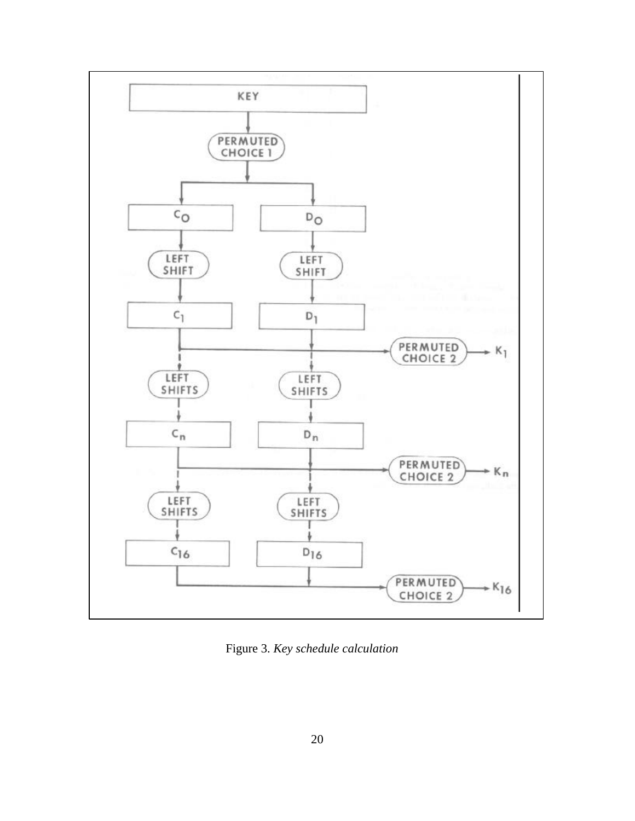

Figure 3. *Key schedule calculation*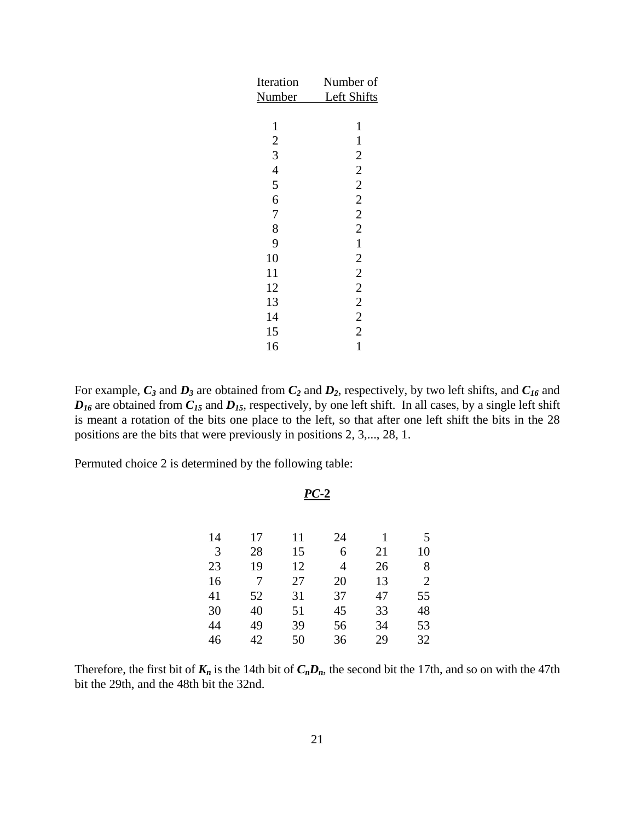| Number of               |
|-------------------------|
| Left Shifts             |
|                         |
| 1                       |
| 1                       |
| $\overline{c}$          |
| $\overline{\mathbf{c}}$ |
| $\overline{c}$          |
| $\overline{c}$          |
| $\overline{2}$          |
| $\overline{2}$          |
| $\mathbf{1}$            |
| $\overline{c}$          |
| $\overline{2}$          |
| $\overline{c}$          |
| $\overline{c}$          |
| $\overline{c}$          |
| $\overline{2}$          |
| 1                       |
|                         |

For example, *C3* and *D3* are obtained from *C2* and *D2*, respectively, by two left shifts, and *C16* and  $D_{16}$  are obtained from  $C_{15}$  and  $D_{15}$ , respectively, by one left shift. In all cases, by a single left shift is meant a rotation of the bits one place to the left, so that after one left shift the bits in the 28 positions are the bits that were previously in positions 2, 3,..., 28, 1.

*PC***-2**

Permuted choice 2 is determined by the following table:

| 17 | 11 | 24 | 1  | 5              |
|----|----|----|----|----------------|
| 28 | 15 | 6  | 21 | 10             |
| 19 | 12 | 4  | 26 | 8              |
| 7  | 27 | 20 | 13 | $\overline{2}$ |
| 52 | 31 | 37 | 47 | 55             |
| 40 | 51 | 45 | 33 | 48             |
| 49 | 39 | 56 | 34 | 53             |
| 42 | 50 | 36 | 29 | 32             |
|    |    |    |    |                |

Therefore, the first bit of  $K_n$  is the 14th bit of  $C_nD_n$ , the second bit the 17th, and so on with the 47th bit the 29th, and the 48th bit the 32nd.